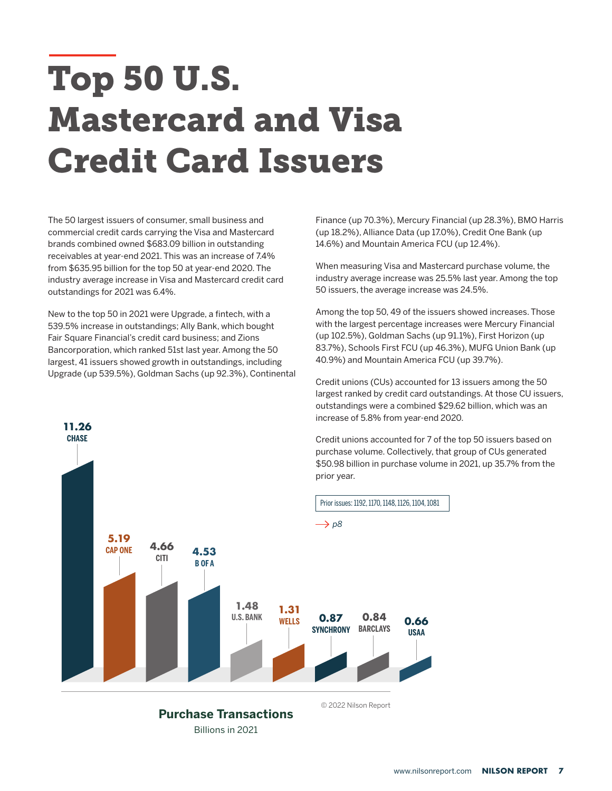## Top 50 U.S. Mastercard and Visa Credit Card Issuers

The 50 largest issuers of consumer, small business and commercial credit cards carrying the Visa and Mastercard brands combined owned \$683.09 billion in outstanding receivables at year-end 2021. This was an increase of 7.4% from \$635.95 billion for the top 50 at year-end 2020. The industry average increase in Visa and Mastercard credit card outstandings for 2021 was 6.4%.

New to the top 50 in 2021 were Upgrade, a fintech, with a 539.5% increase in outstandings; Ally Bank, which bought Fair Square Financial's credit card business; and Zions Bancorporation, which ranked 51st last year. Among the 50 largest, 41 issuers showed growth in outstandings, including Upgrade (up 539.5%), Goldman Sachs (up 92.3%), Continental

**11.26 CHASE**

Finance (up 70.3%), Mercury Financial (up 28.3%), BMO Harris (up 18.2%), Alliance Data (up 17.0%), Credit One Bank (up 14.6%) and Mountain America FCU (up 12.4%).

When measuring Visa and Mastercard purchase volume, the industry average increase was 25.5% last year. Among the top 50 issuers, the average increase was 24.5%.

Among the top 50, 49 of the issuers showed increases. Those with the largest percentage increases were Mercury Financial (up 102.5%), Goldman Sachs (up 91.1%), First Horizon (up 83.7%), Schools First FCU (up 46.3%), MUFG Union Bank (up 40.9%) and Mountain America FCU (up 39.7%).

Credit unions (CUs) accounted for 13 issuers among the 50 largest ranked by credit card outstandings. At those CU issuers, outstandings were a combined \$29.62 billion, which was an increase of 5.8% from year-end 2020.

Credit unions accounted for 7 of the top 50 issuers based on purchase volume. Collectively, that group of CUs generated \$50.98 billion in purchase volume in 2021, up 35.7% from the prior year.



[www.nilsonreport.com](https://www.nilsonreport.com) **NILSON REPORT 7**